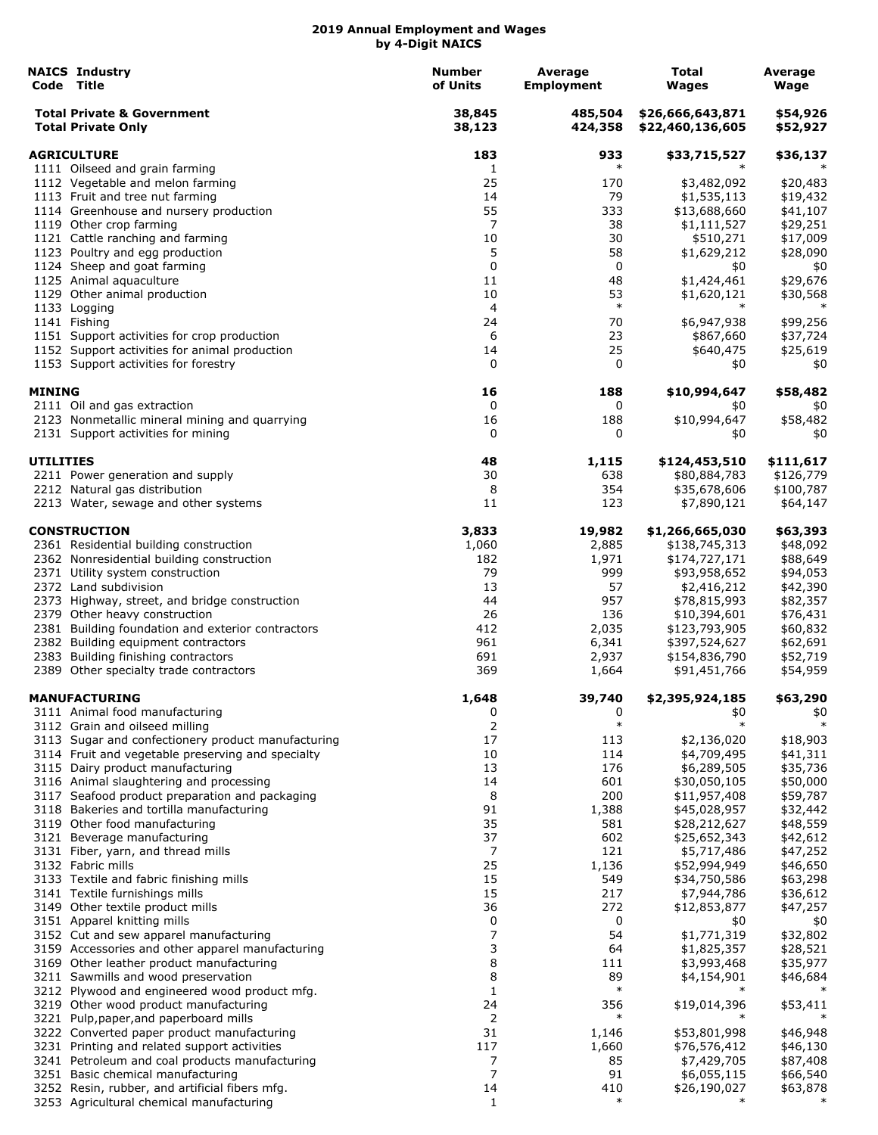|                    | <b>NAICS Industry</b><br>Code Title                                                    | <b>Number</b><br>of Units | Average<br><b>Employment</b> | Total<br><b>Wages</b>                | Average<br>Wage      |
|--------------------|----------------------------------------------------------------------------------------|---------------------------|------------------------------|--------------------------------------|----------------------|
|                    | <b>Total Private &amp; Government</b><br><b>Total Private Only</b>                     | 38,845<br>38,123          | 485,504<br>424,358           | \$26,666,643,871<br>\$22,460,136,605 | \$54,926<br>\$52,927 |
| <b>AGRICULTURE</b> |                                                                                        | 183                       | 933                          | \$33,715,527                         | \$36,137             |
|                    | 1111 Oilseed and grain farming                                                         | 1                         | $\ast$                       | ∗                                    |                      |
|                    | 1112 Vegetable and melon farming                                                       | 25                        | 170                          | \$3,482,092                          | \$20,483             |
|                    | 1113 Fruit and tree nut farming                                                        | 14                        | 79                           | \$1,535,113                          | \$19,432             |
|                    | 1114 Greenhouse and nursery production                                                 | 55                        | 333                          | \$13,688,660                         | \$41,107             |
|                    | 1119 Other crop farming                                                                | 7                         | 38                           | \$1,111,527                          | \$29,251             |
|                    | 1121 Cattle ranching and farming                                                       | 10                        | 30                           | \$510,271                            | \$17,009             |
|                    | 1123 Poultry and egg production                                                        | 5                         | 58                           | \$1,629,212                          | \$28,090             |
|                    | 1124 Sheep and goat farming                                                            | 0                         | 0                            | \$0                                  | \$0                  |
|                    | 1125 Animal aquaculture                                                                | 11                        | 48                           | \$1,424,461                          | \$29,676             |
|                    | 1129 Other animal production<br>1133 Logging                                           | 10<br>4                   | 53<br>$\ast$                 | \$1,620,121<br>$\ast$                | \$30,568<br>$\ast$   |
|                    | 1141 Fishing                                                                           | 24                        | 70                           | \$6,947,938                          | \$99,256             |
|                    | 1151 Support activities for crop production                                            | 6                         | 23                           | \$867,660                            | \$37,724             |
|                    | 1152 Support activities for animal production                                          | 14                        | 25                           | \$640,475                            | \$25,619             |
|                    | 1153 Support activities for forestry                                                   | 0                         | 0                            | \$0                                  | \$0                  |
| <b>MINING</b>      |                                                                                        | 16                        | 188                          | \$10,994,647                         | \$58,482             |
|                    | 2111 Oil and gas extraction                                                            | 0                         | 0                            | \$0                                  | \$0                  |
|                    | 2123 Nonmetallic mineral mining and quarrying                                          | 16                        | 188                          | \$10,994,647                         | \$58,482             |
|                    | 2131 Support activities for mining                                                     | 0                         | 0                            | \$0                                  | \$0                  |
| <b>UTILITIES</b>   |                                                                                        | 48                        | 1,115                        | \$124,453,510                        | \$111,617            |
|                    | 2211 Power generation and supply                                                       | 30                        | 638                          | \$80,884,783                         | \$126,779            |
|                    | 2212 Natural gas distribution                                                          | 8                         | 354                          | \$35,678,606                         | \$100,787            |
|                    | 2213 Water, sewage and other systems                                                   | 11                        | 123                          | \$7,890,121                          | \$64,147             |
|                    | <b>CONSTRUCTION</b>                                                                    | 3,833                     | 19,982                       | \$1,266,665,030                      | \$63,393             |
|                    | 2361 Residential building construction                                                 | 1,060                     | 2,885                        | \$138,745,313                        | \$48,092             |
|                    | 2362 Nonresidential building construction                                              | 182                       | 1,971                        | \$174,727,171                        | \$88,649             |
|                    | 2371 Utility system construction                                                       | 79                        | 999                          | \$93,958,652                         | \$94,053             |
|                    | 2372 Land subdivision                                                                  | 13                        | 57                           | \$2,416,212                          | \$42,390             |
|                    | 2373 Highway, street, and bridge construction                                          | 44                        | 957                          | \$78,815,993                         | \$82,357             |
|                    | 2379 Other heavy construction                                                          | 26                        | 136                          | \$10,394,601                         | \$76,431             |
|                    | 2381 Building foundation and exterior contractors                                      | 412                       | 2,035                        | \$123,793,905                        | \$60,832             |
|                    | 2382 Building equipment contractors                                                    | 961                       | 6,341                        | \$397,524,627                        | \$62,691             |
|                    | 2383 Building finishing contractors                                                    | 691                       | 2,937                        | \$154,836,790                        | \$52,719             |
|                    | 2389 Other specialty trade contractors                                                 | 369                       | 1,664                        | \$91,451,766                         | \$54,959             |
|                    | <b>MANUFACTURING</b><br>3111 Animal food manufacturing                                 | 1,648<br>0                | 39,740<br>0                  | \$2,395,924,185<br>\$0               | \$63,290<br>\$0      |
|                    | 3112 Grain and oilseed milling                                                         | 2                         | $\ast$                       | $\ast$                               | $\ast$               |
|                    | 3113 Sugar and confectionery product manufacturing                                     | 17                        | 113                          | \$2,136,020                          | \$18,903             |
|                    | 3114 Fruit and vegetable preserving and specialty                                      | 10                        | 114                          | \$4,709,495                          | \$41,311             |
|                    | 3115 Dairy product manufacturing                                                       | 13                        | 176                          | \$6,289,505                          | \$35,736             |
|                    | 3116 Animal slaughtering and processing                                                | 14                        | 601                          | \$30,050,105                         | \$50,000             |
|                    | 3117 Seafood product preparation and packaging                                         | 8                         | 200                          | \$11,957,408                         | \$59,787             |
|                    | 3118 Bakeries and tortilla manufacturing                                               | 91                        | 1,388                        | \$45,028,957                         | \$32,442             |
|                    | 3119 Other food manufacturing                                                          | 35                        | 581                          | \$28,212,627                         | \$48,559             |
|                    | 3121 Beverage manufacturing                                                            | 37                        | 602                          | \$25,652,343                         | \$42,612             |
|                    | 3131 Fiber, yarn, and thread mills                                                     | 7                         | 121                          | \$5,717,486                          | \$47,252             |
|                    | 3132 Fabric mills                                                                      | 25                        | 1,136                        | \$52,994,949                         | \$46,650             |
|                    | 3133 Textile and fabric finishing mills                                                | 15                        | 549                          | \$34,750,586                         | \$63,298             |
|                    | 3141 Textile furnishings mills                                                         | 15                        | 217                          | \$7,944,786                          | \$36,612             |
|                    | 3149 Other textile product mills                                                       | 36                        | 272                          | \$12,853,877                         | \$47,257             |
|                    | 3151 Apparel knitting mills                                                            | 0                         | 0                            | \$0                                  | \$0                  |
|                    | 3152 Cut and sew apparel manufacturing                                                 | 7                         | 54                           | \$1,771,319                          | \$32,802             |
|                    | 3159 Accessories and other apparel manufacturing                                       | 3                         | 64                           | \$1,825,357                          | \$28,521             |
|                    | 3169 Other leather product manufacturing                                               | 8                         | 111                          | \$3,993,468                          | \$35,977             |
|                    | 3211 Sawmills and wood preservation                                                    | 8                         | 89<br>$\ast$                 | \$4,154,901                          | \$46,684             |
|                    | 3212 Plywood and engineered wood product mfg.<br>3219 Other wood product manufacturing | $\mathbf{1}$<br>24        | 356                          | \$19,014,396                         | \$53,411             |
|                    | 3221 Pulp, paper, and paperboard mills                                                 | 2                         | $\ast$                       |                                      |                      |
|                    | 3222 Converted paper product manufacturing                                             | 31                        | 1,146                        | \$53,801,998                         | \$46,948             |
|                    | 3231 Printing and related support activities                                           | 117                       | 1,660                        | \$76,576,412                         | \$46,130             |
|                    | 3241 Petroleum and coal products manufacturing                                         | 7                         | 85                           | \$7,429,705                          | \$87,408             |
|                    | 3251 Basic chemical manufacturing                                                      | 7                         | 91                           | \$6,055,115                          | \$66,540             |
|                    | 3252 Resin, rubber, and artificial fibers mfg.                                         | 14                        | 410                          | \$26,190,027                         | \$63,878             |
|                    | 3253 Agricultural chemical manufacturing                                               | 1                         | $\ast$                       | $\ast$                               |                      |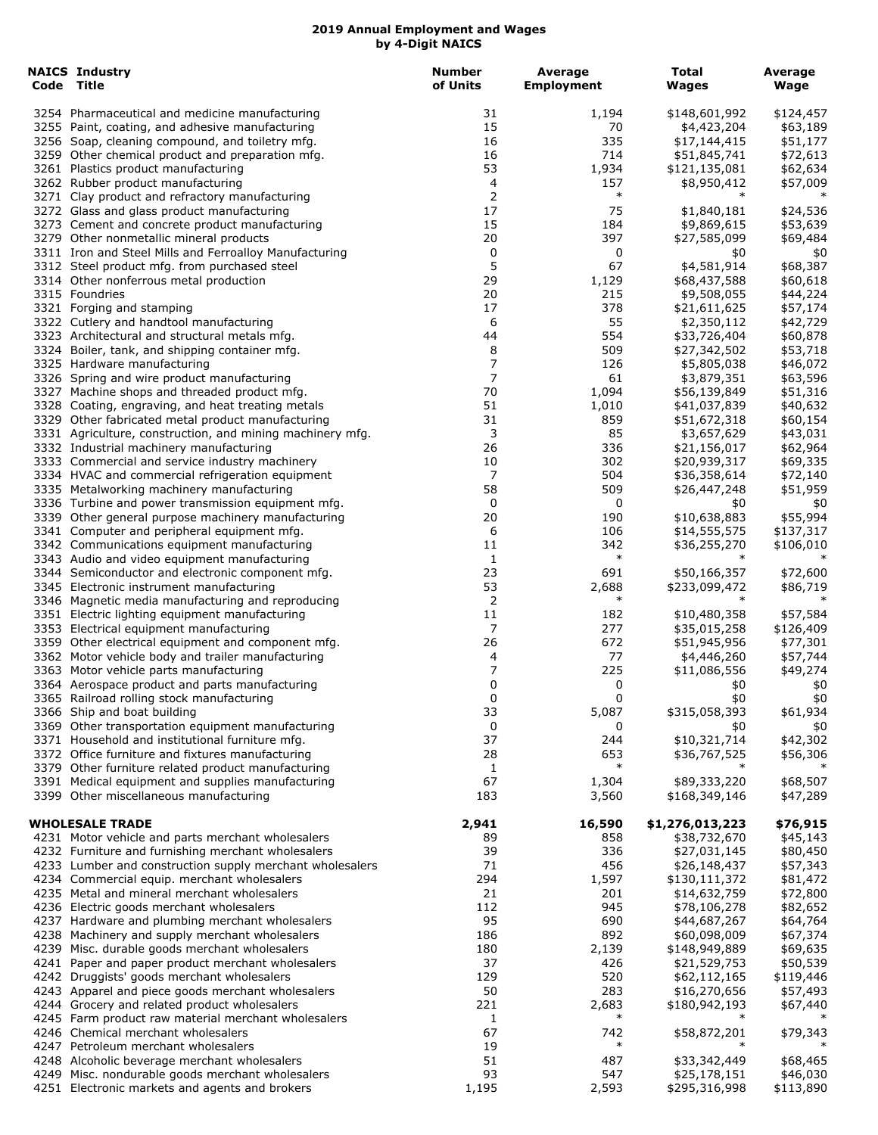| <b>NAICS Industry</b><br>Code Title                                                                    | <b>Number</b><br>of Units | Average<br><b>Employment</b> | <b>Total</b><br>Wages         | Average<br>Wage       |
|--------------------------------------------------------------------------------------------------------|---------------------------|------------------------------|-------------------------------|-----------------------|
| 3254 Pharmaceutical and medicine manufacturing                                                         | 31                        | 1,194                        | \$148,601,992                 | \$124,457             |
| 3255 Paint, coating, and adhesive manufacturing                                                        | 15                        | 70                           | \$4,423,204                   | \$63,189              |
| 3256 Soap, cleaning compound, and toiletry mfg.                                                        | 16                        | 335                          | \$17,144,415                  | \$51,177              |
| 3259 Other chemical product and preparation mfg.                                                       | 16                        | 714                          | \$51,845,741                  | \$72,613              |
| 3261 Plastics product manufacturing                                                                    | 53                        | 1,934                        | \$121,135,081                 | \$62,634              |
| 3262 Rubber product manufacturing                                                                      | 4                         | 157                          | \$8,950,412                   | \$57,009              |
| 3271 Clay product and refractory manufacturing                                                         | $\overline{2}$            | $\ast$                       | $\ast$                        |                       |
| 3272 Glass and glass product manufacturing                                                             | 17                        | 75                           | \$1,840,181                   | \$24,536              |
| 3273 Cement and concrete product manufacturing<br>3279 Other nonmetallic mineral products              | 15<br>20                  | 184<br>397                   | \$9,869,615<br>\$27,585,099   | \$53,639<br>\$69,484  |
| 3311 Iron and Steel Mills and Ferroalloy Manufacturing                                                 | 0                         | 0                            | \$0                           | \$0                   |
| 3312 Steel product mfg. from purchased steel                                                           | 5                         | 67                           | \$4,581,914                   | \$68,387              |
| 3314 Other nonferrous metal production                                                                 | 29                        | 1,129                        | \$68,437,588                  | \$60,618              |
| 3315 Foundries                                                                                         | 20                        | 215                          | \$9,508,055                   | \$44,224              |
| 3321 Forging and stamping                                                                              | 17                        | 378                          | \$21,611,625                  | \$57,174              |
| 3322 Cutlery and handtool manufacturing                                                                | 6                         | 55                           | \$2,350,112                   | \$42,729              |
| 3323 Architectural and structural metals mfg.                                                          | 44                        | 554                          | \$33,726,404                  | \$60,878              |
| 3324 Boiler, tank, and shipping container mfg.                                                         | 8                         | 509                          | \$27,342,502                  | \$53,718              |
| 3325 Hardware manufacturing                                                                            | 7                         | 126                          | \$5,805,038                   | \$46,072              |
| 3326 Spring and wire product manufacturing                                                             | 7                         | 61                           | \$3,879,351                   | \$63,596              |
| 3327 Machine shops and threaded product mfg.                                                           | 70<br>51                  | 1,094                        | \$56,139,849                  | \$51,316              |
| 3328 Coating, engraving, and heat treating metals<br>3329 Other fabricated metal product manufacturing | 31                        | 1,010<br>859                 | \$41,037,839                  | \$40,632              |
| 3331 Agriculture, construction, and mining machinery mfg.                                              | 3                         | 85                           | \$51,672,318<br>\$3,657,629   | \$60,154<br>\$43,031  |
| 3332 Industrial machinery manufacturing                                                                | 26                        | 336                          | \$21,156,017                  | \$62,964              |
| 3333 Commercial and service industry machinery                                                         | 10                        | 302                          | \$20,939,317                  | \$69,335              |
| 3334 HVAC and commercial refrigeration equipment                                                       | 7                         | 504                          | \$36,358,614                  | \$72,140              |
| 3335 Metalworking machinery manufacturing                                                              | 58                        | 509                          | \$26,447,248                  | \$51,959              |
| 3336 Turbine and power transmission equipment mfg.                                                     | 0                         | 0                            | \$0                           | \$0                   |
| 3339 Other general purpose machinery manufacturing                                                     | 20                        | 190                          | \$10,638,883                  | \$55,994              |
| 3341 Computer and peripheral equipment mfg.                                                            | 6                         | 106                          | \$14,555,575                  | \$137,317             |
| 3342 Communications equipment manufacturing                                                            | 11                        | 342                          | \$36,255,270                  | \$106,010             |
| 3343 Audio and video equipment manufacturing                                                           | 1                         | $\ast$                       | $\ast$                        | $\ast$                |
| 3344 Semiconductor and electronic component mfg.                                                       | 23                        | 691                          | \$50,166,357                  | \$72,600              |
| 3345 Electronic instrument manufacturing                                                               | 53                        | 2,688<br>$\ast$              | \$233,099,472<br>$\ast$       | \$86,719              |
| 3346 Magnetic media manufacturing and reproducing                                                      | $\overline{2}$<br>11      |                              |                               |                       |
| 3351 Electric lighting equipment manufacturing<br>3353 Electrical equipment manufacturing              | 7                         | 182<br>277                   | \$10,480,358<br>\$35,015,258  | \$57,584<br>\$126,409 |
| 3359 Other electrical equipment and component mfg.                                                     | 26                        | 672                          | \$51,945,956                  | \$77,301              |
| 3362 Motor vehicle body and trailer manufacturing                                                      | 4                         | 77                           | \$4,446,260                   | \$57,744              |
| 3363 Motor vehicle parts manufacturing                                                                 | 7                         | 225                          | \$11,086,556                  | \$49,274              |
| 3364 Aerospace product and parts manufacturing                                                         | 0                         | 0                            | \$0                           | \$0                   |
| 3365 Railroad rolling stock manufacturing                                                              | 0                         | 0                            | \$0                           | \$0                   |
| 3366 Ship and boat building                                                                            | 33                        | 5,087                        | \$315,058,393                 | \$61,934              |
| 3369 Other transportation equipment manufacturing                                                      | 0                         | 0                            | \$0                           | \$0                   |
| 3371 Household and institutional furniture mfg.                                                        | 37                        | 244                          | \$10,321,714                  | \$42,302              |
| 3372 Office furniture and fixtures manufacturing                                                       | 28                        | 653<br>$\ast$                | \$36,767,525                  | \$56,306              |
| 3379 Other furniture related product manufacturing                                                     | 1<br>67                   |                              |                               |                       |
| 3391 Medical equipment and supplies manufacturing<br>3399 Other miscellaneous manufacturing            | 183                       | 1,304<br>3,560               | \$89,333,220<br>\$168,349,146 | \$68,507<br>\$47,289  |
|                                                                                                        |                           |                              |                               |                       |
| <b>WHOLESALE TRADE</b>                                                                                 | 2,941                     | 16,590                       | \$1,276,013,223               | \$76,915              |
| 4231 Motor vehicle and parts merchant wholesalers                                                      | 89                        | 858                          | \$38,732,670                  | \$45,143              |
| 4232 Furniture and furnishing merchant wholesalers                                                     | 39                        | 336                          | \$27,031,145                  | \$80,450              |
| 4233 Lumber and construction supply merchant wholesalers                                               | 71                        | 456                          | \$26,148,437                  | \$57,343              |
| 4234 Commercial equip. merchant wholesalers                                                            | 294                       | 1,597                        | \$130,111,372                 | \$81,472              |
| 4235 Metal and mineral merchant wholesalers                                                            | 21                        | 201                          | \$14,632,759                  | \$72,800              |
| 4236 Electric goods merchant wholesalers                                                               | 112                       | 945                          | \$78,106,278                  | \$82,652              |
| 4237 Hardware and plumbing merchant wholesalers                                                        | 95<br>186                 | 690<br>892                   | \$44,687,267<br>\$60,098,009  | \$64,764              |
| 4238 Machinery and supply merchant wholesalers<br>4239 Misc. durable goods merchant wholesalers        | 180                       | 2,139                        | \$148,949,889                 | \$67,374<br>\$69,635  |
| 4241 Paper and paper product merchant wholesalers                                                      | 37                        | 426                          | \$21,529,753                  | \$50,539              |
| 4242 Druggists' goods merchant wholesalers                                                             | 129                       | 520                          | \$62,112,165                  | \$119,446             |
| 4243 Apparel and piece goods merchant wholesalers                                                      | 50                        | 283                          | \$16,270,656                  | \$57,493              |
| 4244 Grocery and related product wholesalers                                                           | 221                       | 2,683                        | \$180,942,193                 | \$67,440              |
| 4245 Farm product raw material merchant wholesalers                                                    | 1                         | $\ast$                       | $\ast$                        |                       |
| 4246 Chemical merchant wholesalers                                                                     | 67                        | 742                          | \$58,872,201                  | \$79,343              |
| 4247 Petroleum merchant wholesalers                                                                    | 19                        | $\ast$                       |                               |                       |
| 4248 Alcoholic beverage merchant wholesalers                                                           | 51                        | 487                          | \$33,342,449                  | \$68,465              |
| 4249 Misc. nondurable goods merchant wholesalers                                                       | 93                        | 547                          | \$25,178,151                  | \$46,030              |
| 4251 Electronic markets and agents and brokers                                                         | 1,195                     | 2,593                        | \$295,316,998                 | \$113,890             |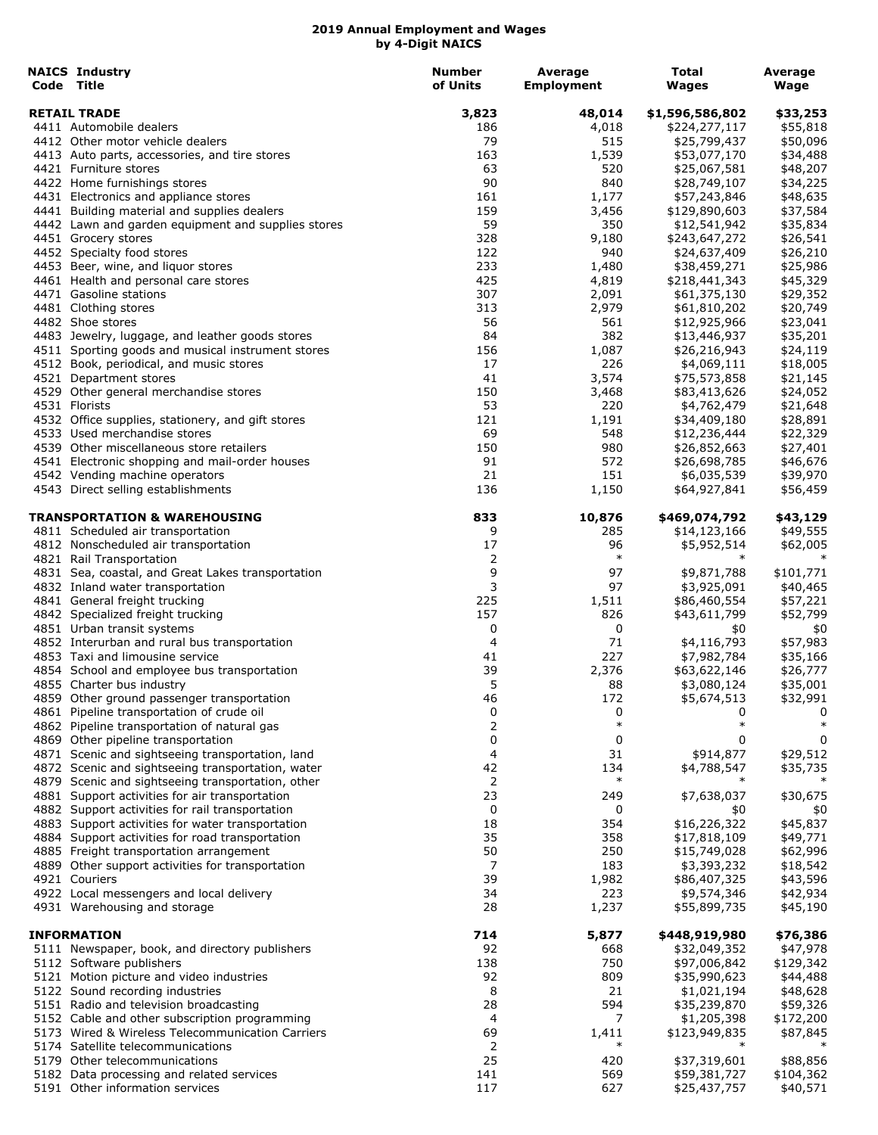| <b>NAICS Industry</b><br>Code Title                              | <b>Number</b><br>of Units | Average<br><b>Employment</b> | <b>Total</b><br><b>Wages</b> | Average<br>Wage |
|------------------------------------------------------------------|---------------------------|------------------------------|------------------------------|-----------------|
| <b>RETAIL TRADE</b>                                              | 3,823                     | 48,014                       | \$1,596,586,802              | \$33,253        |
| 4411 Automobile dealers                                          | 186                       | 4,018                        | \$224,277,117                | \$55,818        |
| 4412 Other motor vehicle dealers                                 | 79                        | 515                          | \$25,799,437                 | \$50,096        |
| 4413 Auto parts, accessories, and tire stores                    | 163                       | 1,539                        | \$53,077,170                 | \$34,488        |
| 4421 Furniture stores                                            | 63                        | 520                          | \$25,067,581                 | \$48,207        |
| 4422 Home furnishings stores                                     | 90                        | 840                          | \$28,749,107                 | \$34,225        |
| 4431 Electronics and appliance stores                            | 161                       | 1,177                        | \$57,243,846                 | \$48,635        |
| 4441 Building material and supplies dealers                      | 159                       | 3,456                        | \$129,890,603                | \$37,584        |
| 4442 Lawn and garden equipment and supplies stores               | 59                        | 350                          | \$12,541,942                 | \$35,834        |
| 4451 Grocery stores                                              | 328                       | 9,180                        | \$243,647,272                | \$26,541        |
| 4452 Specialty food stores                                       | 122                       | 940                          | \$24,637,409                 | \$26,210        |
| 4453 Beer, wine, and liquor stores                               | 233                       | 1,480                        | \$38,459,271                 | \$25,986        |
| 4461 Health and personal care stores                             | 425                       | 4,819                        | \$218,441,343                | \$45,329        |
| 4471 Gasoline stations                                           | 307                       | 2,091                        | \$61,375,130                 | \$29,352        |
| 4481 Clothing stores                                             | 313                       | 2,979                        | \$61,810,202                 | \$20,749        |
| 4482 Shoe stores                                                 | 56                        | 561                          | \$12,925,966                 | \$23,041        |
| 4483 Jewelry, luggage, and leather goods stores                  | 84                        | 382                          | \$13,446,937                 | \$35,201        |
| 4511 Sporting goods and musical instrument stores                | 156                       | 1,087                        | \$26,216,943                 | \$24,119        |
| 4512 Book, periodical, and music stores                          | 17                        | 226                          | \$4,069,111                  | \$18,005        |
| 4521 Department stores                                           | 41                        | 3,574                        | \$75,573,858                 | \$21,145        |
| 4529 Other general merchandise stores                            | 150                       | 3,468                        | \$83,413,626                 | \$24,052        |
| 4531 Florists                                                    | 53                        | 220                          | \$4,762,479                  | \$21,648        |
| 4532 Office supplies, stationery, and gift stores                | 121                       | 1,191                        | \$34,409,180                 | \$28,891        |
| 4533 Used merchandise stores                                     | 69                        | 548                          | \$12,236,444                 | \$22,329        |
| 4539 Other miscellaneous store retailers                         | 150                       | 980                          | \$26,852,663                 | \$27,401        |
| 4541 Electronic shopping and mail-order houses                   | 91                        | 572                          | \$26,698,785                 | \$46,676        |
| 4542 Vending machine operators                                   | 21                        | 151                          | \$6,035,539                  | \$39,970        |
| 4543 Direct selling establishments                               | 136                       | 1,150                        | \$64,927,841                 | \$56,459        |
| TRANSPORTATION & WAREHOUSING                                     | 833                       | 10,876                       | \$469,074,792                | \$43,129        |
| 4811 Scheduled air transportation                                | 9                         | 285                          | \$14,123,166                 | \$49,555        |
| 4812 Nonscheduled air transportation<br>4821 Rail Transportation | 17<br>2                   | 96<br>$\ast$                 | \$5,952,514<br>$\ast$        | \$62,005        |
| 4831 Sea, coastal, and Great Lakes transportation                | 9                         | 97                           | \$9,871,788                  | \$101,771       |
| 4832 Inland water transportation                                 | 3                         | 97                           | \$3,925,091                  | \$40,465        |
| 4841 General freight trucking                                    | 225                       | 1,511                        | \$86,460,554                 | \$57,221        |
| 4842 Specialized freight trucking                                | 157                       | 826                          | \$43,611,799                 | \$52,799        |
| 4851 Urban transit systems                                       | 0                         | 0                            | \$0                          | \$0             |
| 4852 Interurban and rural bus transportation                     | 4                         | 71                           | \$4,116,793                  | \$57,983        |
| 4853 Taxi and limousine service                                  | 41                        | 227                          | \$7,982,784                  | \$35,166        |
| 4854 School and employee bus transportation                      | 39                        | 2,376                        | \$63,622,146                 | \$26,777        |
| 4855 Charter bus industry                                        | 5                         | 88                           | \$3,080,124                  | \$35,001        |
| 4859 Other ground passenger transportation                       | 46                        | 172                          | \$5,674,513                  | \$32,991        |
| 4861 Pipeline transportation of crude oil                        | 0                         | 0                            | 0                            | 0               |
| 4862 Pipeline transportation of natural gas                      | 2                         | $\ast$                       | $\ast$                       | $\ast$          |
| 4869 Other pipeline transportation                               | 0                         | 0                            | 0                            | 0               |
| 4871 Scenic and sightseeing transportation, land                 | 4                         | 31                           | \$914,877                    | \$29,512        |
| 4872 Scenic and sightseeing transportation, water                | 42                        | 134                          | \$4,788,547                  | \$35,735        |
| 4879 Scenic and sightseeing transportation, other                | 2                         | $\ast$                       | $\ast$                       |                 |
| 4881 Support activities for air transportation                   | 23                        | 249                          | \$7,638,037                  | \$30,675        |
| 4882 Support activities for rail transportation                  | 0                         | 0                            | \$0                          | \$0             |
| 4883 Support activities for water transportation                 | 18                        | 354                          | \$16,226,322                 | \$45,837        |
| 4884 Support activities for road transportation                  | 35                        | 358                          | \$17,818,109                 | \$49,771        |
| 4885 Freight transportation arrangement                          | 50                        | 250                          | \$15,749,028                 | \$62,996        |
| 4889 Other support activities for transportation                 | 7                         | 183                          | \$3,393,232                  | \$18,542        |
| 4921 Couriers                                                    | 39                        | 1,982                        | \$86,407,325                 | \$43,596        |
| 4922 Local messengers and local delivery                         | 34                        | 223                          | \$9,574,346                  | \$42,934        |
| 4931 Warehousing and storage                                     | 28                        | 1,237                        | \$55,899,735                 | \$45,190        |
| <b>INFORMATION</b>                                               | 714                       | 5,877                        | \$448,919,980                | \$76,386        |
| 5111 Newspaper, book, and directory publishers                   | 92                        | 668                          | \$32,049,352                 | \$47,978        |
| 5112 Software publishers                                         | 138                       | 750                          | \$97,006,842                 | \$129,342       |
| 5121 Motion picture and video industries                         | 92                        | 809                          | \$35,990,623                 | \$44,488        |
| 5122 Sound recording industries                                  | 8                         | 21                           | \$1,021,194                  | \$48,628        |
| 5151 Radio and television broadcasting                           | 28                        | 594                          | \$35,239,870                 | \$59,326        |
| 5152 Cable and other subscription programming                    | 4                         | 7                            | \$1,205,398                  | \$172,200       |
| 5173 Wired & Wireless Telecommunication Carriers                 | 69                        | 1,411                        | \$123,949,835                | \$87,845        |
| 5174 Satellite telecommunications                                | 2                         | $\ast$                       |                              |                 |
| 5179 Other telecommunications                                    | 25                        | 420                          | \$37,319,601                 | \$88,856        |
| 5182 Data processing and related services                        | 141                       | 569                          | \$59,381,727                 | \$104,362       |
| 5191 Other information services                                  | 117                       | 627                          | \$25,437,757                 | \$40,571        |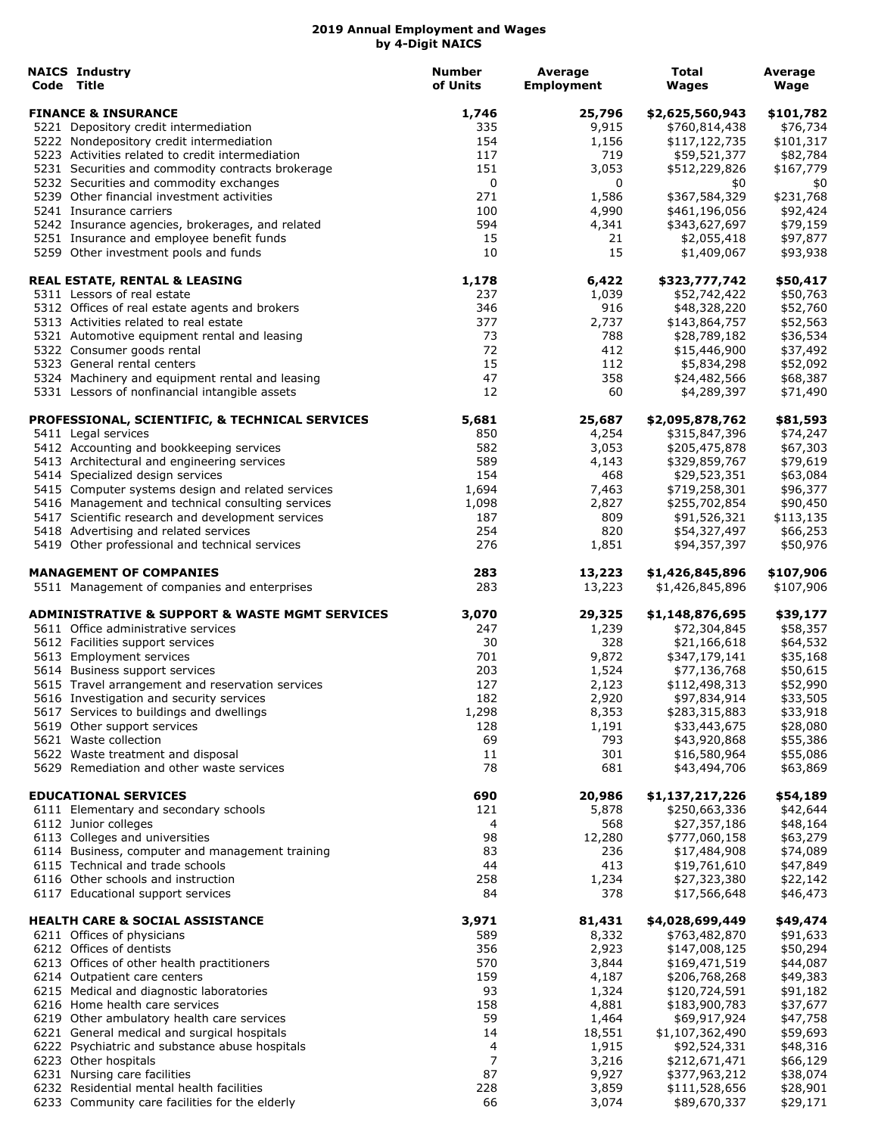| <b>NAICS Industry</b><br>Code Title                                                        | <b>Number</b><br>of Units | Average<br><b>Employment</b> | Total<br>Wages                | Average<br>Wage       |
|--------------------------------------------------------------------------------------------|---------------------------|------------------------------|-------------------------------|-----------------------|
| <b>FINANCE &amp; INSURANCE</b>                                                             | 1,746                     | 25,796                       | \$2,625,560,943               | \$101,782             |
| 5221 Depository credit intermediation                                                      | 335                       | 9,915                        | \$760,814,438                 | \$76,734              |
| 5222 Nondepository credit intermediation                                                   | 154                       | 1,156                        | \$117,122,735                 | \$101,317             |
| 5223 Activities related to credit intermediation                                           | 117                       | 719                          | \$59,521,377                  | \$82,784              |
| 5231 Securities and commodity contracts brokerage                                          | 151                       | 3,053                        | \$512,229,826                 | \$167,779             |
| 5232 Securities and commodity exchanges<br>5239 Other financial investment activities      | 0<br>271                  | 0<br>1,586                   | \$0<br>\$367,584,329          | \$0<br>\$231,768      |
| 5241 Insurance carriers                                                                    | 100                       | 4,990                        | \$461,196,056                 | \$92,424              |
| 5242 Insurance agencies, brokerages, and related                                           | 594                       | 4,341                        | \$343,627,697                 | \$79,159              |
| 5251 Insurance and employee benefit funds                                                  | 15                        | 21                           | \$2,055,418                   | \$97,877              |
| 5259 Other investment pools and funds                                                      | 10                        | 15                           | \$1,409,067                   | \$93,938              |
| <b>REAL ESTATE, RENTAL &amp; LEASING</b>                                                   | 1,178                     | 6,422                        | \$323,777,742                 | \$50,417              |
| 5311 Lessors of real estate                                                                | 237                       | 1,039                        | \$52,742,422                  | \$50,763              |
| 5312 Offices of real estate agents and brokers                                             | 346                       | 916                          | \$48,328,220                  | \$52,760              |
| 5313 Activities related to real estate                                                     | 377<br>73                 | 2,737<br>788                 | \$143,864,757                 | \$52,563              |
| 5321 Automotive equipment rental and leasing<br>5322 Consumer goods rental                 | 72                        | 412                          | \$28,789,182<br>\$15,446,900  | \$36,534<br>\$37,492  |
| 5323 General rental centers                                                                | 15                        | 112                          | \$5,834,298                   | \$52,092              |
| 5324 Machinery and equipment rental and leasing                                            | 47                        | 358                          | \$24,482,566                  | \$68,387              |
| 5331 Lessors of nonfinancial intangible assets                                             | 12                        | 60                           | \$4,289,397                   | \$71,490              |
| PROFESSIONAL, SCIENTIFIC, & TECHNICAL SERVICES                                             | 5,681                     | 25,687                       | \$2,095,878,762               | \$81,593              |
| 5411 Legal services                                                                        | 850                       | 4,254                        | \$315,847,396                 | \$74,247              |
| 5412 Accounting and bookkeeping services                                                   | 582                       | 3,053                        | \$205,475,878                 | \$67,303              |
| 5413 Architectural and engineering services                                                | 589                       | 4,143                        | \$329,859,767                 | \$79,619              |
| 5414 Specialized design services                                                           | 154                       | 468                          | \$29,523,351                  | \$63,084              |
| 5415 Computer systems design and related services                                          | 1,694                     | 7,463                        | \$719,258,301                 | \$96,377              |
| 5416 Management and technical consulting services                                          | 1,098                     | 2,827                        | \$255,702,854                 | \$90,450              |
| 5417 Scientific research and development services<br>5418 Advertising and related services | 187<br>254                | 809<br>820                   | \$91,526,321<br>\$54,327,497  | \$113,135<br>\$66,253 |
| 5419 Other professional and technical services                                             | 276                       | 1,851                        | \$94,357,397                  | \$50,976              |
| <b>MANAGEMENT OF COMPANIES</b>                                                             | 283                       | 13,223                       | \$1,426,845,896               | \$107,906             |
| 5511 Management of companies and enterprises                                               | 283                       | 13,223                       | \$1,426,845,896               | \$107,906             |
| <b>ADMINISTRATIVE &amp; SUPPORT &amp; WASTE MGMT SERVICES</b>                              | 3,070                     | 29,325                       | \$1,148,876,695               | \$39,177              |
| 5611 Office administrative services                                                        | 247<br>30                 | 1,239<br>328                 | \$72,304,845                  | \$58,357              |
| 5612 Facilities support services<br>5613 Employment services                               | 701                       | 9,872                        | \$21,166,618<br>\$347,179,141 | \$64,532<br>\$35,168  |
| 5614 Business support services                                                             | 203                       | 1,524                        | \$77,136,768                  | \$50,615              |
| 5615 Travel arrangement and reservation services                                           | 127                       | 2,123                        | \$112,498,313                 | \$52,990              |
| 5616 Investigation and security services                                                   | 182                       | 2,920                        | \$97,834,914                  | \$33,505              |
| 5617 Services to buildings and dwellings                                                   | 1,298                     | 8,353                        | \$283,315,883                 | \$33,918              |
| 5619 Other support services                                                                | 128                       | 1,191                        | \$33,443,675                  | \$28,080              |
| 5621 Waste collection                                                                      | 69                        | 793                          | \$43,920,868                  | \$55,386              |
| 5622 Waste treatment and disposal                                                          | 11                        | 301                          | \$16,580,964                  | \$55,086              |
| 5629 Remediation and other waste services                                                  | 78                        | 681                          | \$43,494,706                  | \$63,869              |
| <b>EDUCATIONAL SERVICES</b>                                                                | 690                       | 20,986                       | \$1,137,217,226               | \$54,189              |
| 6111 Elementary and secondary schools                                                      | 121                       | 5,878                        | \$250,663,336                 | \$42,644              |
| 6112 Junior colleges<br>6113 Colleges and universities                                     | 4<br>98                   | 568                          | \$27,357,186                  | \$48,164              |
| 6114 Business, computer and management training                                            | 83                        | 12,280<br>236                | \$777,060,158<br>\$17,484,908 | \$63,279<br>\$74,089  |
| 6115 Technical and trade schools                                                           | 44                        | 413                          | \$19,761,610                  | \$47,849              |
| 6116 Other schools and instruction                                                         | 258                       | 1,234                        | \$27,323,380                  | \$22,142              |
| 6117 Educational support services                                                          | 84                        | 378                          | \$17,566,648                  | \$46,473              |
| <b>HEALTH CARE &amp; SOCIAL ASSISTANCE</b>                                                 | 3,971                     | 81,431                       | \$4,028,699,449               | \$49,474              |
| 6211 Offices of physicians                                                                 | 589                       | 8,332                        | \$763,482,870                 | \$91,633              |
| 6212 Offices of dentists                                                                   | 356                       | 2,923                        | \$147,008,125                 | \$50,294              |
| 6213 Offices of other health practitioners                                                 | 570                       | 3,844                        | \$169,471,519                 | \$44,087              |
| 6214 Outpatient care centers                                                               | 159                       | 4,187                        | \$206,768,268                 | \$49,383              |
| 6215 Medical and diagnostic laboratories                                                   | 93                        | 1,324                        | \$120,724,591                 | \$91,182              |
| 6216 Home health care services                                                             | 158                       | 4,881                        | \$183,900,783                 | \$37,677              |
| 6219 Other ambulatory health care services                                                 | 59                        | 1,464                        | \$69,917,924                  | \$47,758              |
| 6221 General medical and surgical hospitals                                                | 14                        | 18,551                       | \$1,107,362,490               | \$59,693              |
| 6222 Psychiatric and substance abuse hospitals                                             | 4                         | 1,915                        | \$92,524,331                  | \$48,316              |
| 6223 Other hospitals                                                                       | 7                         | 3,216                        | \$212,671,471                 | \$66,129              |
| 6231 Nursing care facilities<br>6232 Residential mental health facilities                  | 87<br>228                 | 9,927                        | \$377,963,212                 | \$38,074              |
| 6233 Community care facilities for the elderly                                             | 66                        | 3,859<br>3,074               | \$111,528,656<br>\$89,670,337 | \$28,901<br>\$29,171  |
|                                                                                            |                           |                              |                               |                       |